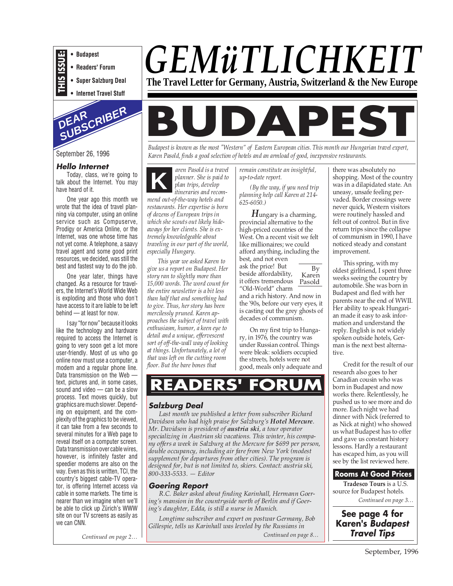

- **Readers' Forum**
- **Super Salzburg Deal**
- **Internet Travel Stuff**



September 26, 1996

#### **Hello Internet**

Today, class, we're going to talk about the Internet. You may have heard of it.

One year ago this month we wrote that the idea of travel planning via computer, using an online service such as Compuserve, Prodigy or America Online, or the Internet, was one whose time has not yet come. A telephone, a saavy travel agent and some good print resources, we decided, was still the best and fastest way to do the job.

One year later, things have changed. As a resource for travelers, the Internet's World Wide Web is exploding and those who don't have access to it are liable to be left behind — at least for now.

I say "for now" because it looks like the technology and hardware required to access the Internet is going to very soon get a lot more user-friendly. Most of us who go online now must use a computer, a modem and a regular phone line. Data transmission on the Web text, pictures and, in some cases, sound and video — can be a slow process. Text moves quickly, but graphics are much slower. Depending on equipment, and the complexity of the graphics to be viewed, it can take from a few seconds to several minutes for a Web page to reveal itself on a computer screen. Data transmission over cable wires, however, is infinitely faster and speedier modems are also on the way. Even as this is written, TCI, the country's biggest cable-TV operator, is offering Internet access via cable in some markets. The time is nearer than we imagine when we'll be able to click up Zürich's WWW site on our TV screens as easily as we can CNN.

*Continued on page 2…*

## *GEMüTLICHKEIT* **The Travel Letter for Germany, Austria, Switzerland & the New Europe**

# **BUDAPEST**

*Budapest is known as the most "Western" of Eastern European cities. This month our Hungarian travel expert, Karen Pasold, finds a good selection of hotels and an armload of good, inexpensive restaurants.*

**K** *aren Pasold is a travel planner. She is paid to plan trips, develop itineraries and recommend out-of-the-way hotels and restaurants. Her expertise is born of dozens of European trips in which she scouts out likely hideaways for her clients. She is extremely knowledgeable about traveling in our part of the world, especially Hungary.*

*This year we asked Karen to give us a report on Budapest. Her story ran to slightly more than 15,000 words. The word count for the entire newsletter is a bit less than half that and something had to give. Thus, her story has been mercilessly pruned. Karen approaches the subject of travel with enthusiasm, humor, a keen eye to detail and a unique, effervescent sort of off-the-wall way of looking at things. Unfortunately, a lot of that was left on the cutting room floor. But the bare bones that*

*remain constitute an insightful, up-to-date report.*

*(By the way, if you need trip planning help call Karen at 214- 625-6050.)*

*H*ungary is a charming, provincial alternative to the high-priced countries of the West. On a recent visit we felt like millionaires; we could afford anything, including the best, and not even

it offers tremendous Pasold ask the price! But beside affordability, "Old-World" charm and a rich history. And now in

the '90s, before our very eyes, it is casting out the grey ghosts of decades of communism.

By Karen

On my first trip to Hungary, in 1976, the country was under Russian control. Things were bleak: soldiers occupied the streets, hotels were not good, meals only adequate and

## **READERS' FORUM**

#### **Salzburg Deal**

*Last month we published a letter from subscriber Richard Davidson who had high praise for Salzburg's Hotel Mercure. Mr. Davidson is president of austria ski, a tour operator specializing in Austrian ski vacations. This winter, his company offers a week in Salzburg at the Mercure for \$699 per person, double occupancy, including air fare from New York (modest supplement for departures from other cities). The program is designed for, but is not limited to, skiers. Contact: austria ski, 800-333-5533. — Editor*

#### **Goering Report**

*R.C. Baker asked about finding Karinhall, Hermann Goering's mansion in the countryside north of Berlin and if Goering's daughter, Edda, is still a nurse in Munich.*

*Longtime subscriber and expert on postwar Germany, Bob Gillespie, tells us Karinhall was leveled by the Russians in*

*Continued on page 8…*

there was absolutely no shopping. Most of the country was in a dilapidated state. An uneasy, unsafe feeling pervaded. Border crossings were never quick, Western visitors were routinely hassled and felt out of control. But in five return trips since the collapse of communism in 1990, I have noticed steady and constant improvement.

This spring, with my oldest girlfriend, I spent three weeks seeing the country by automobile. She was born in Budapest and fled with her parents near the end of WWII. Her ability to speak Hungarian made it easy to ask information and understand the reply. English is not widely spoken outside hotels, German is the next best alternative.

Credit for the result of our research also goes to her Canadian cousin who was born in Budapest and now works there. Relentlessly, he pushed us to see more and do more. Each night we had dinner with Nick (referred to as Nick at night) who showed us what Budapest has to offer and gave us constant history lessons. Hardly a restaurant has escaped him, as you will see by the list reviewed here.

#### **Rooms At Good Prices**

*Continued on page 3…* **Tradesco Tours** is a U.S. source for Budapest hotels.

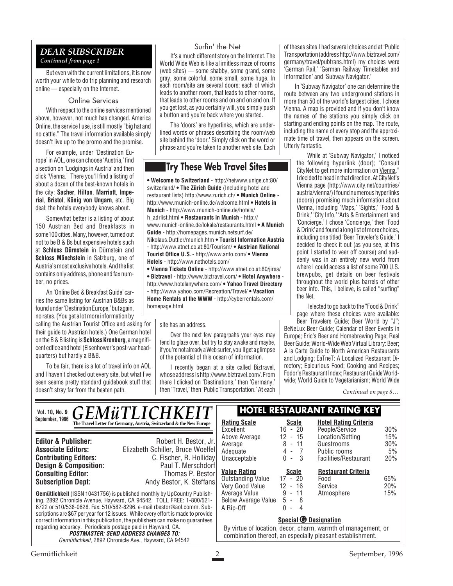#### *DEAR SUBSCRIBER Continued from page 1*

But even with the current limitations, it is now worth your while to do trip planning and research online — especially on the Internet.

#### Online Services

With respect to the online services mentioned above, however, not much has changed. America Online, the service I use, is still mostly "big hat and no cattle." The travel information available simply doesn't live up to the promo and the promise.

For example, under 'Destination Europe' in AOL, one can choose 'Austria,' find a section on 'Lodgings in Austria' and then click 'Vienna.' There you'll find a listing of about a dozen of the best-known hotels in the city: **Sacher**, **Hilton**, **Marriott**, **Imperial**, **Bristol**, **König von Ungarn**, etc. Big deal; the hotels everybody knows about.

Somewhat better is a listing of about 150 Austrian Bed and Breakfasts in some100 cities. Many, however, turned out not to be B & Bs but expensive hotels such at **Schloss Dürnstein** in Dürnstein and **Schloss Mönchstein** in Salzburg, one of Austria's most exclusive hotels. And the list contains only address, phone and fax number, no prices.

An 'Online Bed & Breakfast Guide' carries the same listing for Austrian B&Bs as found under 'Destination Europe,' but again, no rates. (You get a lot more information by

calling the Austrian Tourist Office and asking for their guide to Austrian hotels.) One German hotel on the B & B listing is **Schloss Kronberg**, a magnificent edfice and hotel (Eisenhower's post-war headquarters) but hardly a B&B.

To be fair, there is a lot of travel info on AOL and I haven't checked out every site, but what I've seen seems pretty standard guidebook stuff that doesn't stray far from the beaten path.

#### Surfin' the Net

It's a much different story on the Internet. The World Wide Web is like a limitless maze of rooms (web sites) — some shabby, some grand, some gray, some colorful, some small, some huge. In each room/site are several doors; each of which leads to another room, that leads to other rooms, that leads to other rooms and on and on and on. If you get lost, as you certainly will, you simply push a button and you're back where you started.

The 'doors' are hyperlinks, which are underlined words or phrases describing the room/web site behind the 'door.' Simply click on the word or phrase and you're taken to another web site. Each

#### **Try These Web Travel Sites**

**• Welcome to Switzerland** - http://heiwww.unige.ch:80/ switzerland/ **• The Zürich Guide** (Including hotel and restaurant lists) http://www.zurich.ch/ **• Munich Online**  http://www.munich-online.de/welcome.html **• Hotels in Munich** - http://www.munich-online.de/hotels/ h\_adrlist.html **• Restaurants in Munich** - http:// www.munich-online.de/lokale/restaurants.html **• A Munich Guide** - http://homepages.munich.netsurf.de/ Nikolaus.Duttler/munich.htm **• Tourist Information Austria** - http://www.atnet.co.at:80/Tourism/ **• Austrian National Tourist Office U.S.** - http://www.anto.com/ **• Vienna Hotels** - http://www.nethotels.com/ **• Vienna Tickets Online** - http://www.atnet.co.at:80/jirsa/

**• Biztravel** - http://www.biztravel.com/ **• Hotel Anywhere** http://www.hotelanywhere.com/ **• Yahoo Travel Directory** - http://www.yahoo.com/Recreation/Travel/ **• Vacation Home Rentals of the WWW** - http://cyberrentals.com/ homepage.html

#### site has an address.

Over the next few paragrpahs your eyes may tend to glaze over, but try to stay awake and maybe, if you're not already a Web surfer, you'll get a glimpse of the potential of this ocean of information.

I recently began at a site called Biztravel, whose address is http://www.biztravel.com/. From there I clicked on 'Destinations,' then 'Germany,' then 'Travel,' then 'Public Transportation.' At each of theses sites I had several choices and at 'Public Transportation (address http://www.biztravel.com/ germany/travel/pubtrans.html) my choices were 'German Rail,' 'German Railway Timetables and Information' and 'Subway Navigator.'

In 'Subway Navigator' one can determine the route between any two underground stations in more than 50 of the world's largest cities. I chose Vienna. A map is provided and if you don't know the names of the stations you simply click on starting and ending points on the map. The route, including the name of every stop and the approximate time of travel, then appears on the screen. Utterly fantastic.

> While at 'Subway Navigator,' I noticed the following hyperlink (door); "Consult CityNet to get more information on Vienna." I decided to head in that direction. At CityNet's Vienna page (http://www.city.net/countries/ austria/vienna/) I found numerous hyperlinks (doors) promising much information about Vienna, including 'Maps,' 'Sights,' 'Food & Drink,' 'City Info,' 'Arts & Entertainment 'and 'Concierge.' I chose 'Concierge,' then 'Food & Drink' and found a long list of more choices, including one titled 'Beer Traveler's Guide.' I decided to check it out (as you see, at this point I started to veer off course) and suddenly was in an entirely new world from where I could access a list of some 700 U.S. brewpubs, get details on beer festivals throughout the world plus barrels of other beer info. This, I believe, is called "surfing" the Net.

> I elected to go back to the "Food & Drink" page where these choices were available: Beer Travelers Guide; Beer World by "J";

BeNeLux Beer Guide; Calendar of Beer Events in Europe; Eric's Beer and Homebrewing Page; Real Beer Guide; World-Wide Web Virtual Library: Beer; A la Carte Guide to North American Restaurants and Lodging; EaTneT: A Localized Restaurant Directory; Epicurious Food; Cooking and Recipes; Fodor's Restaurant Index; Restaurant Guide Worldwide; World Guide to Vegetarianism; World Wide

*Continued on page 8…*

#### **Gemütlichkeit** (ISSN 10431756) is published monthly by UpCountry Publishing, 2892 Chronicle Avenue, Hayward, CA 94542. TOLL FREE: 1-800/521- 6722 or 510/538-0628. Fax: 510/582-8296. e-mail rbestor@aol.comm. Subscriptions are \$67 per year for 12 issues. While every effort is made to provide correct information in this publication, the publishers can make no guarantees regarding accuracy. Periodicals postage paid in Hayward, CA. **POSTMASTER: SEND ADDRESS CHANGES TO:** Gemütlichkeit, 2892 Chronicle Ave., Hayward, CA 94542 **Editor & Publisher:** Robert H. Bestor, Jr. **Associate Editors:** Elizabeth Schiller, Bruce Woelfel **Contributing Editors:** C. Fischer, R. Holliday<br>**Design & Composition:** Paul T. Merschdorf **Design & Composition:** Paul T. Merschdorf<br> **Consulting Editor:** Thomas P. Bestor **Consulting Editor:**<br>Subscription Dept: **Subscription Dept:** Andy Bestor, K. Steffans Vol. 10, No. 9 **CEMITI ICHKEIT HOTEL RESTAURANT RATING KEY** September, 1996<br> **Rating Scale Rating Scale Scale**<br> **Rating Scale Rating Scale** Excellent 16 - 20 Above Average Above Average<br>
Above Average<br>
Average<br>
Adequate<br>
Adequate<br>  $4 - 7$ Adequate 4 - 7<br>Unacceptable 0 - 3 Unacceptable **Hotel Rating Criteria** People/Service 30% Location/Setting 15%<br>Guestrooms 30% Guestrooms Public rooms 5% Facilities/Restaurant 20% **Special © Designation** By virtue of location, decor, charm, warmth of management, or combination thereof, an especially pleasant establishment. **<u>Value Rating</u>**<br> **Cutstanding Value** 17 - 20 Outstanding Value 17 - 20<br>Very Good Value 12 - 16 Very Good Value 12 - 16 Average Value Below Average Value A Rip-Off 0 - 4<br>A Rip-Off 0 - 4 **Restaurant Criteria** Food 65% Service 20%<br>Atmosphere 15% Atmosphere *GEMÜTLICHK*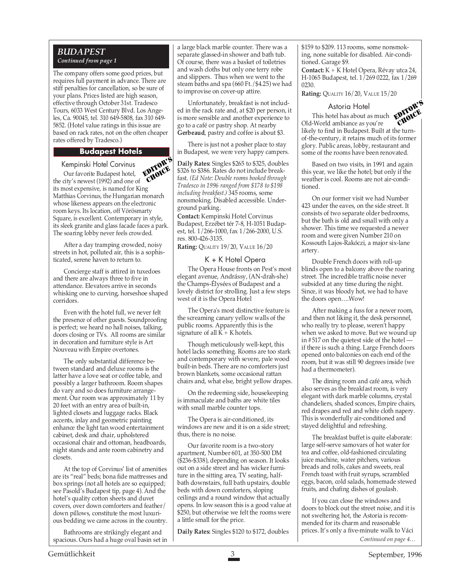The company offers some good prices, but requires full payment in advance. There are stiff penalties for cancellation, so be sure of your plans. Prices listed are high season, effective through October 31st. Tradesco Tours, 6033 West Century Blvd. Los Angeles, Ca. 90045, tel. 310 649-5808, fax 310 649- 5852. (Hotel value ratings in this issue are based on rack rates, not on the often cheaper rates offered by Tradesco.)

#### **Budapest Hotels**

Kempinski Hotel Corvinus

Cempinski Hotel Corvinus<br>Our favorite Budapest hotel, **EDIORE** the city's newest (1992) and one of its most expensive, is named for King Matthias Corvinus, the Hungarian monarch whose likeness appears on the electronic room keys. Its location, off Vörösmarty Square, is excellent. Contemporary in style, its sleek granite and glass facade faces a park. The soaring lobby never feels crowded. CHOICE

After a day tramping crowded, noisy streets in hot, polluted air, this is a sophisticated, serene haven to return to.

Concierge staff is attired in tuxedoes and there are always three to five in attendance. Elevators arrive in seconds whisking one to curving, horseshoe shaped corridors.

Even with the hotel full, we never felt the presence of other guests. Soundproofing is perfect; we heard no hall noises, talking, doors closing or TVs. All rooms are similar in decoration and furniture style is Art Nouveau with Empire overtones.

The only substantial difference between standard and deluxe rooms is the latter have a love seat or coffee table, and possibly a larger bathroom. Room shapes do vary and so does furniture arrangement. Our room was approximately 11 by 20 feet with an entry area of built-in, lighted closets and luggage racks. Black accents, inlay and geometric painting enhance the light tan wood entertainment cabinet, desk and chair, upholstered occasional chair and ottoman, headboards, night stands and ante room cabinetry and closets.

At the top of Corvinus' list of amenities are its "real" beds; bona fide mattresses and box springs (not all hotels are so equipped; see Pasold's Budapest tip, page 4). And the hotel's quality cotton sheets and duvet covers, over down comforters and feather/ down pillows, constitute the most luxurious bedding we came across in the country.

Bathrooms are strikingly elegant and spacious. Ours had a huge oval basin set in a large black marble counter. There was a separate glassed-in shower and bath tub. Of course, there was a basket of toiletries and wash cloths but only one terry robe and slippers. Thus when we went to the steam baths and spa (660 Ft./\$4.25) we had to improvise on cover-up attire.

Unfortunately, breakfast is not included in the rack rate and, at \$20 per person, it is more sensible and another experience to go to a café or pastry shop. At nearby **Gerbeaud**, pastry and coffee is about \$3.

There is just not a posher place to stay in Budapest, we were very happy campers.

**Daily Rates:** Singles \$265 to \$325, doubles \$326 to \$386. Rates do not include breakfast. *(Ed Note: Double rooms booked through Tradesco in 1996 ranged from \$178 to \$198 including breakfast.)* 345 rooms, some nonsmoking. Disabled accessible. Underground parking.

**Contact:** Kempinski Hotel Corvinus Budapest, Erzébet tér 7-8, H-1051 Budapest, tel. 1/266-1000, fax 1/266-2000, U.S. res. 800-426-3135.

**Rating:** QUALITY 19/20, VALUE 16/20

#### K + K Hotel Opera

The Opera House fronts on Pest's most elegant avenue, Andrássy, (AN-drah-she) the Champs-Élysées of Budapest and a lovely district for strolling. Just a few steps west of it is the Opera Hotel

The Opera's most distinctive feature is the screaming canary yellow walls of the public rooms. Apparently this is the signature of all  $\hat{K} + K$  hotels.

Though meticulously well-kept, this hotel lacks something. Rooms are too stark and contemporary with severe, pale wood built-in beds. There are no comforters just brown blankets, some occasional rattan chairs and, what else, bright yellow drapes.

On the redeeming side, housekeeping is immaculate and baths are white tiles with small marble counter tops.

The Opera is air-conditioned, its windows are new and it is on a side street; thus, there is no noise.

Our favorite room is a two-story apartment, Number 601, at 350-500 DM (\$236-\$338), depending on season. It looks out on a side street and has wicker furniture in the sitting area, TV seating, halfbath downstairs, full bath upstairs, double beds with down comforters, sloping ceilings and a round window that actually opens. In low season this is a good value at \$250, but otherwise we felt the rooms were a little small for the price.

**Daily Rates:** Singles \$120 to \$172, doubles

\$159 to \$209. 113 rooms, some nonsmoking, none suitable for disabled. Air-conditioned. Garage \$9.

**Contact:** K + K Hotel Opera, Révay utca 24, H-1065 Budapest, tel. 1/269 0222, fax 1/269 0230.

**Rating:** QUALITY 16/20, VALUE 15/20

#### Astoria Hotel



This hotel has about as much Old-World ambiance as you're likely to find in Budapest. Built at the turnof-the-century, it retains much of its former glory. Public areas, lobby, restaurant and some of the rooms have been renovated. CHOICE

Based on two visits, in 1991 and again this year, we like the hotel; but only if the weather is cool. Rooms are not air-conditioned.

On our former visit we had Number 423 under the eaves, on the side street. It consists of two separate older bedrooms, but the bath is old and small with only a shower. This time we requested a newer room and were given Number 210 on Kossouth Lajos-Rakóczi, a major six-lane artery.

Double French doors with roll-up blinds open to a balcony above the roaring street. The incredible traffic noise never subsided at any time during the night. Since, it was bloody hot, we had to have the doors open….Wow!

After making a fuss for a newer room, and then not liking it, the desk personnel, who really try to please, weren't happy when we asked to move. But we wound up in #517 on the quietest side of the hotel if there is such a thing. Large French doors opened onto balconies on each end of the room, but it was still 90 degrees inside (we had a thermometer).

The dining room and café area, which also serves as the breakfast room, is very elegant with dark marble columns, crystal chandeliers, shaded sconces, Empire chairs, red drapes and red and white cloth napery. This is wonderfully air-conditioned and stayed delightful and refreshing.

The breakfast buffet is quite elaborate: large self-serve samovars of hot water for tea and coffee, old-fashioned circulating juice machine, water pitchers, various breads and rolls, cakes and sweets, real French toast with fruit syrups, scrambled eggs, bacon, cold salads, homemade stewed fruits, and chafing dishes of goulash.

*Continued on page 4…* If you can close the windows and doors to block out the street noise, and it is not sweltering hot, the Astoria is recommended for its charm and reasonable prices. It's only a five-minute walk to Váci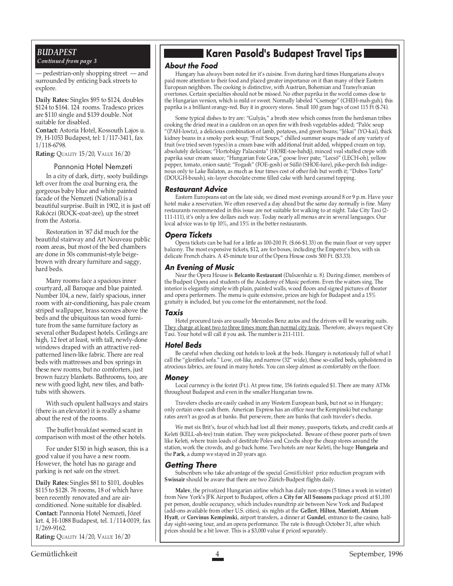— pedestrian-only shopping street — and surrounded by enticing back streets to explore.

**Daily Rates:** Singles \$95 to \$124, doubles \$124 to \$164. 124 rooms. Tradesco prices are \$110 single and \$139 double. Not suitable for disabled.

**Contact:** Astoria Hotel, Kossouth Lajos u. 19, H-1053 Budapest, tel: 1/117-3411, fax 1/118-6798.

**Rating:** QUALITY 15/20, VALUE 16/20

#### Pannonia Hotel Nemzeti

In a city of dark, dirty, sooty buildings left over from the coal burning era, the gorgeous baby blue and white painted facade of the Nemzeti (National) is a beautiful surprise. Built in 1902, it is just off Rakóczi (ROCK-coat-zee), up the street from the Astoria.

Restoration in '87 did much for the beautiful stairway and Art Nouveau public room areas, but most of the bed chambers are done in 50s communist-style beigebrown with dreary furniture and saggy, hard beds.

Many rooms face a spacious inner courtyard, all Baroque and blue painted. Number 104, a new, fairly spacious, inner room with air-conditioning, has pale cream striped wallpaper, brass sconces above the beds and the ubiquitous tan wood furniture from the same furniture factory as several other Budapest hotels. Ceilings are high, 12 feet at least, with tall, newly-done windows draped with an attractive redpatterned linen-like fabric. There are real beds with mattresses and box springs in these new rooms, but no comforters, just brown fuzzy blankets. Bathrooms, too, are new with good light, new tiles, and bathtubs with showers.

With such opulent hallways and stairs (there is an elevator) it is really a shame about the rest of the rooms.

The buffet breakfast seemed scant in comparison with most of the other hotels.

For under \$150 in high season, this is a good value if you have a new room. However, the hotel has no garage and parking is not safe on the street.

**Daily Rates:** Singles \$81 to \$101, doubles \$115 to \$128. 76 rooms, 18 of which have been recently renovated and are airconditioned. None suitable for disabled. **Contact:** Pannonia Hotel Nemzeti, Józef krt. 4, H-1088 Budapest, tel. 1/114-0019, fax 1/269-9162.

**Rating:** QUALITY 14/20, VALUE 16/20

### **Karen Pasold's Budapest Travel Tips**

#### **About the Food**

Hungary has always been noted for it's cuisine. Even during hard times Hungarians always paid more attention to their food and placed greater importance on it than many of their Eastern European neighbors. The cooking is distinctive, with Austrian, Bohemian and Transylvanian overtones. Certain specialties should not be missed. No other paprika in the world comes close to the Hungarian version, which is mild or sweet. Normally labeled "Csemege" (CHEH-mah-guh), this paprika is a brilliant orangy-red. Buy it in grocery stores. Small 100 gram bags of cost 115 Ft (\$.74).

Some typical dishes to try are: "Gulyás," a broth stew which comes from the herdsman tribes cooking the dried meat in a cauldron on an open fire with fresh vegetables added; "Palóc soup "(PAH-lowtz), a delicious combination of lamb, potatoes, and green beans; "Jókai" (YO-kai), thick kidney beans in a smoky pork soup; "Fruit Soups," chilled summer soups made of any variety of fruit (we tried seven types) in a cream base with additional fruit added, whipped cream on top, absolutely delicious; "Hortobágy Palacsinta" (HORE-toe-bahdj), minced veal stuffed crepe with paprika sour cream sauce; "Hungarian Foie Gras," goose liver pate; "Lecsó" (LECH-oh), yellow pepper, tomato, onion sauté; "Fogash" (FOE-gosh) or Süllö (SHOE-lure), pike-perch fish indigenous only to Lake Balaton, as much as four times cost of other fish but worth it; "Dobos Torte" (DOUGH-boush), six-layer chocolate creme filled cake with hard caramel topping.

#### **Restaurant Advice**

Eastern Europeans eat on the late side, we dined most evenings around 8 or 9 p.m. Have your hotel make a reservation. We often reserved a day ahead but the same day normally is fine. Many restaurants recommended in this issue are not suitable for walking to at night. Take City Taxi (2- 111-111), it's only a few dollars each way. Today nearly all menus are in several languages. Our local advice was to tip 10%, and 15% in the better restaurants.

#### **Opera Tickets**

Opera tickets can be had for a little as 100-200 Ft. (\$.66-\$1.33) on the main floor or very upper balcony. The most expensive tickets, \$12, are for boxes, including the Emperor's box, with six delicate French chairs. A 45-minute tour of the Opera House costs 500 Ft. (\$3.33).

#### **An Evening of Music**

Near the Opera House is **Belcanto Restaurant** (Dalszenház u. 8). During dinner, members of the Budpest Opera and students of the Academy of Music perform. Even the waiters sing. The interior is elegantly simple with plain, painted walls, wood floors and signed pictures of theater and opera performers. The menu is quite extensive, prices are high for Budapest and a 15% gratuity is included, but you come for the entertainment, not the food.

#### **Taxis**

Hotel procured taxis are usually Mercedes Benz autos and the drivers will be wearing suits. They charge at least two to three times more than normal city taxis. Therefore, always request City Taxi. Your hotel will call if you ask. The number is 211-1111.

#### **Hotel Beds**

Be careful when checking out hotels to look at the beds. Hungary is notoriously full of what I call the "glorified sofa." Low, cot-like, and narrow (32" wide), these so-called beds, upholstered in atrocious fabrics, are found in many hotels. You can sleep almost as comfortably on the floor.

#### **Money**

Local currency is the forint (Ft.). At press time, 156 forints equaled \$1. There are many ATMs throughout Budapest and even in the smaller Hungarian towns.

Travelers checks are easily cashed in any Western European bank, but not so in Hungary; only certain ones cash them. American Express has an office near the Kempinski but exchange rates aren't as good as at banks. But persevere, there are banks that cash traveler's checks.

We met six Brit's, four of which had lost all their money, passports, tickets, and credit cards at Keleti (KELL-ah-tee) train station. They were pickpocketed. Beware of these poorer parts of town like Keleti, where train loads of destitute Poles and Czechs shop the cheap stores around the station, work the crowds, and go back home. Two hotels are near Keleti, the huge **Hungaria** and the **Park**, a dump we stayed in 20 years ago.

#### **Getting There**

Subscribers who take advantage of the special *Gemütlichkeit* price reduction program with **Swissair** should be aware that there are two Zürich-Budpest flights daily.

**Malev**, the privatized Hungarian airline which has daily non-stops (5 times a week in winter) from New York's JFK Airport to Budapest, offers a **City for All Seasons** package priced at \$1,100 per person, double occupancy, which includes roundtrip air between New York and Budapest (add-ons available from other U.S. cities), six nights at the **Gellert**, **Hilton**, **Marriott**, **Atrium Hyatt**, or **Corvinus Kempinski**, airport transfers, a dinner at **Gundel**, entrance to the casino, halfday sight-seeing tour, and an opera performance. The rate is through October 31, after which prices should be a bit lower. This is a \$3,000 value if priced separately.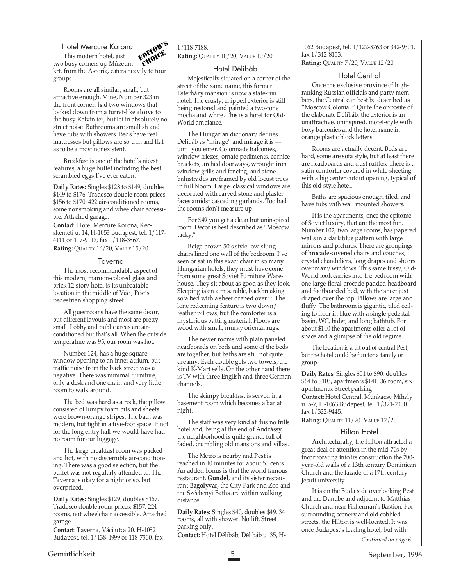Hotel Mercure Korona This modern hotel, just



two busy corners up Múzeum krt. from the Astoria, caters heavily to tour groups.

Rooms are all similar; small, but attractive enough. Mine, Number 323 in the front corner, had two windows that looked down from a turret-like alcove to the busy Kalvin ter, but let in absolutely no street noise. Bathrooms are smallish and have tubs with showers. Beds have real mattresses but pillows are so thin and flat as to be almost nonexistent.

Breakfast is one of the hotel's nicest features; a huge buffet including the best scrambled eggs I've ever eaten.

**Daily Rates:** Singles \$128 to \$149, doubles \$149 to \$176. Tradesco double room prices: \$156 to \$170. 422 air-conditioned rooms, some nonsmoking and wheelchair accessible. Attached garage.

**Contact:** Hotel Mercure Korona, Kecskemeti u. 14, H-1053 Budapest, tel. 1/117- 4111 or 117-9117, fax 1/118-3867. **Rating:** QUALITY 16/20, VALUE 15/20

#### Taverna

The most recommendable aspect of this modern, maroon-colored glass and brick 12-story hotel is its unbeatable location in the middle of Váci, Pest's pedestrian shopping street.

All guestrooms have the same decor, but different layouts and most are pretty small. Lobby and public areas are airconditioned but that's all. When the outside temperature was 95, our room was hot.

Number 124, has a huge square window opening to an inner atrium, but traffic noise from the back street was a negative. There was minimal furniture, only a desk and one chair, and very little room to walk around.

The bed was hard as a rock, the pillow consisted of lumpy foam bits and sheets were brown-orange stripes. The bath was modern, but tight in a five-foot space. If not for the long entry hall we would have had no room for our luggage.

The large breakfast room was packed and hot, with no discernible air-conditioning. There was a good selection, but the buffet was not regularly attended to. The Taverna is okay for a night or so, but overpriced.

**Daily Rates:** Singles \$129, doubles \$167. Tradesco double room prices: \$157. 224 rooms, not wheelchair accessible. Attached garage.

**Contact:** Taverna, Váci utca 20, H-1052 Budapest, tel. 1/138-4999 or 118-7500, fax

#### 1/118-7188.

**Rating:** QUALITY 10/20, VALUE 10/20

#### Hotel Délibáb

Majestically situated on a corner of the street of the same name, this former Esterházy mansion is now a state-run hotel. The crusty, chipped exterior is still being restored and painted a two-tone mocha and white. This is a hotel for Old-World ambiance.

The Hungarian dictionary defines Délibáb as "mirage" and mirage it is until you enter. Colonnade balconies, window friezes, ornate pediments, cornice brackets, arched doorways, wrought iron window grills and fencing, and stone balustrades are framed by old locust trees in full bloom. Large, classical windows are decorated with carved stone and plaster faces amidst cascading garlands. Too bad the rooms don't measure up.

For \$49 you get a clean but uninspired room. Decor is best described as "Moscow tacky."

Beige-brown 50's style low-slung chairs lined one wall of the bedroom. I've seen or sat in this exact chair in so many Hungarian hotels, they must have come from some great Soviet Furniture Warehouse. They sit about as good as they look. Sleeping is on a miserable, backbreaking sofa bed with a sheet draped over it. The lone redeeming feature is two down/ feather pillows, but the comforter is a mysterious batting material. Floors are wood with small, murky oriental rugs.

The newer rooms with plain paneled headboards on beds and some of the beds are together, but baths are still not quite dreamy. Each double gets two towels, the kind K-Mart sells. On the other hand there is TV with three English and three German channels.

The skimpy breakfast is served in a basement room which becomes a bar at night.

The staff was very kind at this no frills hotel and, being at the end of Andrássy, the neighborhood is quite grand, full of faded, crumbling old mansions and villas.

The Metro is nearby and Pest is reached in 10 minutes for about 50 cents. An added bonus is that the world famous restaurant, **Gundel**, and its sister restaurant **Bagolyvar,** the City Park and Zoo and the Széchenyi Baths are within walking distance.

**Daily Rates:** Singles \$40, doubles \$49. 34 rooms, all with shower. No lift. Street parking only. **Contact:** Hotel Délibáb, Délibáb u. 35, H- 1062 Budapest, tel. 1/122-8763 or 342-9301, fax 1/342-8153. **Rating:** QUALITY 7/20, VALUE 12/20

#### Hotel Central

Once the exclusive province of highranking Russian officials and party members, the Central can best be described as "Moscow Colonial." Quite the opposite of the elaborate Délibáb, the exterior is an unattractive, uninspired, motel-style with boxy balconies and the hotel name in orange plastic block letters.

Rooms are actually decent. Beds are hard, some are sofa style, but at least there are headboards and dust ruffles. There is a satin comforter covered in white sheeting with a big center cutout opening, typical of this old-style hotel.

Baths are spacious enough, tiled, and have tubs with wall mounted showers.

It is the apartments, once the epitome of Soviet luxury, that are the most fun. Number 102, two large rooms, has papered walls in a dark blue pattern with large mirrors and pictures. There are groupings of brocade-covered chairs and couches, crystal chandeliers, long drapes and sheers over many windows. This same fussy, Old-World look carries into the bedroom with one large floral brocade padded headboard and footboarded bed, with the sheet just draped over the top. Pillows are large and fluffy. The bathroom is gigantic, tiled ceiling to floor in blue with a single pedestal basin, WC, bidet, and long bathtub. For about \$140 the apartments offer a lot of space and a glimpse of the old regime.

The location is a bit out of central Pest, but the hotel could be fun for a family or group.

**Daily Rates:** Singles \$51 to \$90, doubles \$64 to \$103, apartments \$141. 36 room, six apartments. Street parking.

**Contact:** Hotel Central, Munkacsy Míhaly u. 5-7, H-1063 Budapest, tel. 1/321-2000, fax 1/322-9445.

**Rating:** QUALITY 11/20 VALUE 12/20

#### Hilton Hotel

Architecturally, the Hilton attracted a great deal of attention in the mid-70s by incorporating into its construction the 700 year-old walls of a 13th century Dominican Church and the facade of a 17th century Jesuit university.

It is on the Buda side overlooking Pest and the Danube and adjacent to Matthias Church and near Fisherman's Bastion. For surrounding scenery and old cobbled streets, the Hilton is well-located. It was once Budapest's leading hotel, but with

*Continued on page 6…*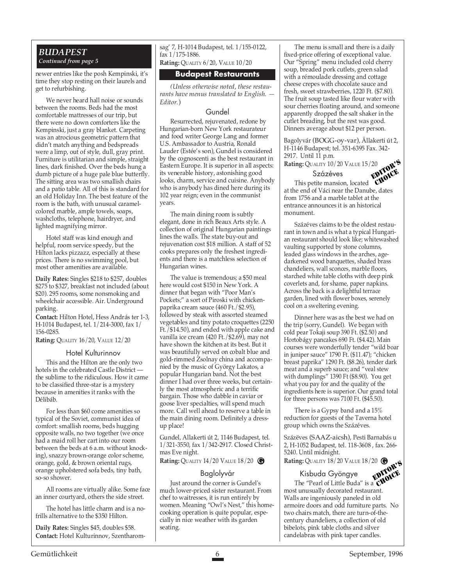newer entries like the posh Kempinski, it's time they stop resting on their laurels and get to refurbishing.

We never heard hall noise or sounds between the rooms. Beds had the most comfortable mattresses of our trip, but there were no down comforters like the Kempinski, just a gray blanket. Carpeting was an atrocious geometric pattern that didn't match anything and bedspreads were a limp, out of style, dull, gray print. Furniture is utilitarian and simple, straight lines, dark finished. Over the beds hung a dumb picture of a huge pale blue butterfly. The sitting area was two smallish chairs and a patio table. All of this is standard for an old Holiday Inn. The best feature of the room is the bath, with unusual caramelcolored marble, ample towels, soaps, washcloths, telephone, hairdryer, and lighted magnifying mirror.

Hotel staff was kind enough and helpful, room service speedy, but the Hilton lacks pizzazz, especially at these prices. There is no swimming pool, but most other amenities are available.

**Daily Rates:** Singles \$218 to \$257, doubles \$275 to \$327, breakfast not included (about \$20). 295 rooms, some nonsmoking and wheelchair accessible. Air. Underground parking.

**Contact:** Hilton Hotel, Hess András ter 1-3, H-1014 Budapest, tel. 1/214-3000, fax 1/ 156-0285.

**Rating:** QUALITY 16/20, VALUE 12/20

#### Hotel Kulturinnov

This and the Hilton are the only two hotels in the celebrated Castle District the sublime to the ridiculous. How it came to be classified three-star is a mystery because in amenities it ranks with the Délibáb.

For less than \$60 come amenities so typical of the Soviet, communist idea of comfort: smallish rooms, beds hugging opposite walls, no two together (we once had a maid roll her cart into our room between the beds at 6 a.m. without knocking), snazzy brown-orange color scheme, orange, gold, & brown oriental rugs, orange upholstered sofa beds, tiny bath, so-so shower.

All rooms are virtually alike. Some face an inner courtyard, others the side street.

The hotel has little charm and is a nofrills alternative to the \$350 Hilton.

**Daily Rates:** Singles \$45, doubles \$58. **Contact:** Hotel Kulturinnov, Szentharomsag' 7, H-1014 Budapest, tel. 1/155-0122, fax 1/175-1886.

**Rating:** QUALITY 6/20, VALUE 10/20

#### **Budapest Restaurants**

*(Unless otherwise noted, these restaurants have menus translated to English. — Editor.*)

#### Gundel

Resurrected, rejuvenated, redone by Hungarian-born New York restaurateur and food writer George Lang and former U.S. Ambassador to Austria, Ronald Lauder (Estée's son), Gundel is considered by the cognoscenti as the best restaurant in Eastern Europe. It is superior in all aspects: its venerable history, astonishing good looks, charm, service and cuisine. Anybody who is anybody has dined here during its 102 year reign; even in the communist years.

The main dining room is subtly elegant, done in rich Beaux Arts style. A collection of original Hungarian paintings lines the walls. The state buy-out and rejuvenation cost \$18 million. A staff of 52 cooks prepares only the freshest ingredients and there is a matchless selection of Hungarian wines.

The value is tremendous; a \$50 meal here would cost \$150 in New York. A dinner that began with "Poor Man's Pockets;" a sort of Piroski with chickenpaprika cream sauce (460 Ft./\$2.95), followed by steak with assorted steamed vegetables and tiny potato croquettes (2250 Ft./\$14.50), and ended with apple cake and vanilla ice cream (420 Ft./\$2.69), may not have shown the kitchen at its best. But it was beautifully served on cobalt blue and gold-rimmed Zsolnay china and accompanied by the music of György Lakatos, a popular Hungarian band. Not the best dinner I had over three weeks, but certainly the most atmospheric and a terrific bargain. Those who dabble in caviar or goose liver specialties, will spend much more. Call well ahead to reserve a table in the main dining room. Definitely a dressup place!

Gundel, Allakerti út 2, 1146 Budapest, tel. 1/321-3550, fax 1/342-2917. Closed Christmas Eve night.

**Rating:** QUALITY 14/20 VALUE 18/20 **@** 

#### Baglolyvár

Just around the corner is Gundel's much lower-priced sister restaurant. From chef to waitresses, it is run entirely by women. Meaning "Owl's Nest," this homecooking operation is quite popular, especially in nice weather with its garden seating.

The menu is small and there is a daily fixed-price offering of exceptional value. Our "Spring" menu included cold cherry soup, breaded pork cutlets, green salad with a rémoulade dressing and cottage cheese crepes with chocolate sauce and fresh, sweet strawberries, 1220 Ft. (\$7.80). The fruit soup tasted like flour water with sour cherries floating around, and someone apparently dropped the salt shaker in the cutlet breading, but the rest was good. Dinners average about \$12 per person.

Bagolyvár (BOGG-oy-var), Ällakerti út 2, H-1146 Budapest; tel. 351-6395 Fax. 342- 2917. Until 11 p.m.

**Rating:** QUALITY 10/20 VALUE 15/20 EDITOR'S

#### Százéves

This petite mansion, located at the end of Váci near the Danube, dates from 1756 and a marble tablet at the entrance announces it is an historical monument. CHOICE

Százéves claims to be the oldest restaurant in town and is what a typical Hungarian restaurant should look like; whitewashed vaulting supported by stone columns, leaded glass windows in the arches, agedarkened wood banquettes, shaded brass chandeliers, wall sconces, marble floors, starched white table cloths with deep pink coverlets and, for shame, paper napkins. Across the back is a delightful terrace garden, lined with flower boxes, serenely cool on a sweltering evening.

Dinner here was as the best we had on the trip (sorry, Gundel). We began with cold pear Tokaji soup 390 Ft. (\$2.50) and Hortobágy pancakes 690 Ft. (\$4.42). Main courses were wonderfully tender "wild boar in juniper sauce" 1790 Ft. (\$11.47); "chicken breast paprika" 1290 Ft. (\$8.26), tender dark meat and a superb sauce; and "veal stew with dumplings" 1390 Ft (\$8.90). You get what you pay for and the quality of the ingredients here is superior. Our grand total for three persons was 7100 Ft. (\$45.50).

There is a Gypsy band and a 15% reduction for guests of the Taverna hotel group which owns the Százéves.

Százëves (SAAZ-aicsh), Pesti Barnabás u 2, H-1052 Budapest, tel. 118-3608 , fax. 266- 5240. Until midnight.

**Rating:** QUALITY 18/20 VALUE 18/20 **G G** EDITOR'S

#### Kisbuda Gyöngye

The "Pearl of Little Buda" is a most unusually decorated restaurant. Walls are ingeniously paneled in old armoire doors and odd furniture parts. No two chairs match, there are turn-of-thecentury chandeliers, a collection of old bibelots, pink table cloths and silver candelabras with pink taper candles. CHOICE

Gemütlichkeit 6 September, 1996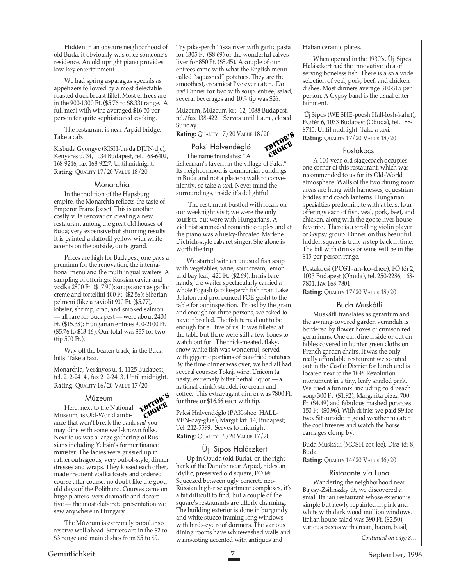Hidden in an obscure neighborhood of old Buda, it obviously was once someone's residence. An old upright piano provides low-key entertainment.

We had spring asparagus specials as appetizers followed by a most delectable roasted duck breast fillet. Most entrees are in the 900-1300 Ft. (\$5.76 to \$8.33) range. A full meal with wine averaged \$16.50 per person for quite sophisticated cooking.

The restaurant is near Arpád bridge. Take a cab.

Kisbuda Gyöngye (KISH-bu-da DJUN-dje), Kenyeres u. 34, 1034 Budapest, tel. 168-6402, 168-9246, fax 168-9227. Until midnight. **Rating:** QUALITY 17/20 VALUE 18/20

#### Monarchia

In the tradition of the Hapsburg empire, the Monarchia reflects the taste of Emperor Franz József. This is another costly villa renovation creating a new restaurant among the great old houses of Buda; very expensive but stunning results. It is painted a daffodil yellow with white accents on the outside, quite grand.

Prices are high for Budapest, one pays a premium for the renovation, the international menu and the multilingual waiters. A sampling of offerings: Russian caviar and vodka 2800 Ft. (\$17.90); soups such as garlic creme and tortellini 400 Ft. (\$2.56); Siberian pelmeni (like a ravioli) 900 Ft. (\$5.77), lobster, shrimp, crab, and smoked salmon — all rare for Budapest — were about 2400 Ft. (\$15.38); Hungarian entrees 900-2100 Ft. (\$5.76 to \$13.46). Our total was \$37 for two (tip 500 Ft.).

Way off the beaten track, in the Buda hills. Take a taxi.

Monarchia, Verányos u. 4, 1125 Budapest, tel. 212-2414 , fax 212-2413. Until midnight. **Rating:** QUALITY 16/20 VALUE 17/20

#### Múzeum



Múzeum<br>Here, next to the National **EDITOR'S** Museum, is Old-World ambiance that won't break the bank *and* you may dine with some well-known folks. Next to us was a large gathering of Russians including Yeltsin's former finance minister. The ladies were gussied up in rather outrageous, very out-of-style, dinner dresses and wraps. They kissed each other, made frequent vodka toasts and ordered course after course; no doubt like the good old days of the Politburo. Courses came on huge platters, very dramatic and decorative — the most elaborate presentation we saw anywhere in Hungary. CHOICE

The Múzeum is extremely popular so reserve well ahead. Starters are in the \$2 to \$3 range and main dishes from \$5 to \$9.

Try pike-perch Tisza river with garlic pasta for 1305 Ft. (\$8.69) or the wonderful calves liver for 850 Ft. (\$5.45). A couple of our entrees came with what the English menu called "squashed" potatoes. They are the smoothest, creamiest I've ever eaten. Do try! Dinner for two with soup, entree, salad, several beverages and 10% tip was \$26.

Múzeum, Múzeum krt. 12, 1088 Budapest, tel./fax 138-4221. Serves until 1 a.m., closed Sunday. EDITOR'S

**Rating:** QUALITY 17/20 VALUE 18/20

#### Paksi Halvendéglö

The name translates: "A fisherman's tavern in the village of Paks." Its neighborhood is commercial buildings in Buda and not a place to walk to conveniently, so take a taxi. Never mind the surroundings, inside it's delightful. CHOICE

 The restaurant bustled with locals on our weeknight visit; we were the only tourists, but were with Hungarians. A violinist serenaded romantic couples and at the piano was a husky-throated Marlene Dietrich-style cabaret singer. She alone is worth the trip.

We started with an unusual fish soup with vegetables, wine, sour cream, lemon and bay leaf, 420 Ft. (\$2.69). In his bare hands, the waiter spectacularly carried a whole Fogash (a pike-perch fish from Lake Balaton and pronounced FOE-gosh) to the table for our inspection. Priced by the gram and enough for three persons, we asked to have it broiled. The fish turned out to be enough for all five of us. It was filleted at the table but there were still a few bones to watch out for. The thick-meated, flaky, snow-white fish was wonderful, served with gigantic portions of pan-fried potatoes. By the time dinner was over, we had all had several courses: Tokaji wine, Unicom (a nasty, extremely bitter herbal liquor — a national drink), strudel, ice cream and coffee. This extravagant dinner was 7800 Ft. for three or \$16.66 each with tip.

Paksi Halvendéglö (PAK-shee HALL-VEN-day-glue), Margit krt. 14, Budapest; Tel. 212-5599. Serves to midnight. **Rating:** QUALITY 16/20 VALUE 17/20

#### Üj Sipos Halászkert

Up in Obuda (old Buda), on the right bank of the Danube near Arpad, hides an idyllic, preserved old square, FÖ tér. Squeezed between ugly concrete neo-Russian high-rise apartment complexes, it's a bit difficult to find, but a couple of the square's restaurants are utterly charming. The building exterior is done in burgundy and white stucco framing long windows with birds-eye roof dormers. The various dining rooms have whitewashed walls and wainscoting accented with antiques and

#### Haban ceramic plates.

When opened in the 1930's, Üj Sipos Halászkert had the innovative idea of serving boneless fish. There is also a wide selection of veal, pork, beef, and chicken dishes. Most dinners average \$10-\$15 per person. A Gypsy band is the usual entertainment.

 Üj Sipos (WE SHE-poesh Hall-losh-kahrt), FÖ tér 6, 1033 Budapest (Obuda), tel. 188- 8745. Until midnight. Take a taxi. **Rating:** QUALITY 17/20 VALUE 18/20

#### Postakocsi

A 100-year-old stagecoach occupies one corner of this restaurant, which was recommended to us for its Old-World atmosphere. Walls of the two dining room areas are hung with harnesses, equestrian bridles and coach lanterns. Hungarian specialties predominate with at least four offerings each of fish, veal, pork, beef, and chicken, along with the goose liver house favorite. There is a strolling violin player or Gypsy group. Dinner on this beautiful hidden square is truly a step back in time. The bill with drinks or wine will be in the \$15 per person range.

Postakocsi (POST-ah-ko-chee), FÖ tér 2, 1033 Budapest (Obuda), tel. 250-2286, 168- 7801, fax 168-7801.

**Rating:** QUALITY 17/20 VALUE 18/20

#### Buda Muskátli

Muskátli translates as geranium and the awning-covered garden verandah is bordered by flower boxes of crimson red geraniums. One can dine inside or out on tables covered in hunter green cloths on French garden chairs. It was the only really affordable restaurant we scouted out in the Castle District for lunch and is located next to the 1848 Revolution monument in a tiny, leafy shaded park. We tried a fun mix including cold peach soup 300 Ft. (\$1.92), Margarita pizza 700 Ft. (\$4.49) and fabulous mashed potatoes 150 Ft. (\$0.96). With drinks we paid \$9 for two. Sit outside in good weather to catch the cool breezes and watch the horse carriages clomp by.

Buda Muskátli (MOSH-cot-lee), Disz tér 8, Buda

**Rating:** QUALITY 14/20 VALUE 16/20

#### Ristorante via Luna

Wandering the neighborhood near Bajcsy-Zsilinszky út, we discovered a small Italian restaurant whose exterior is simple but newly repainted in pink and white with dark wood mullion windows. Italian house salad was 390 Ft. (\$2.50); various pastas with cream, bacon, basil,

*Continued on page 8…*